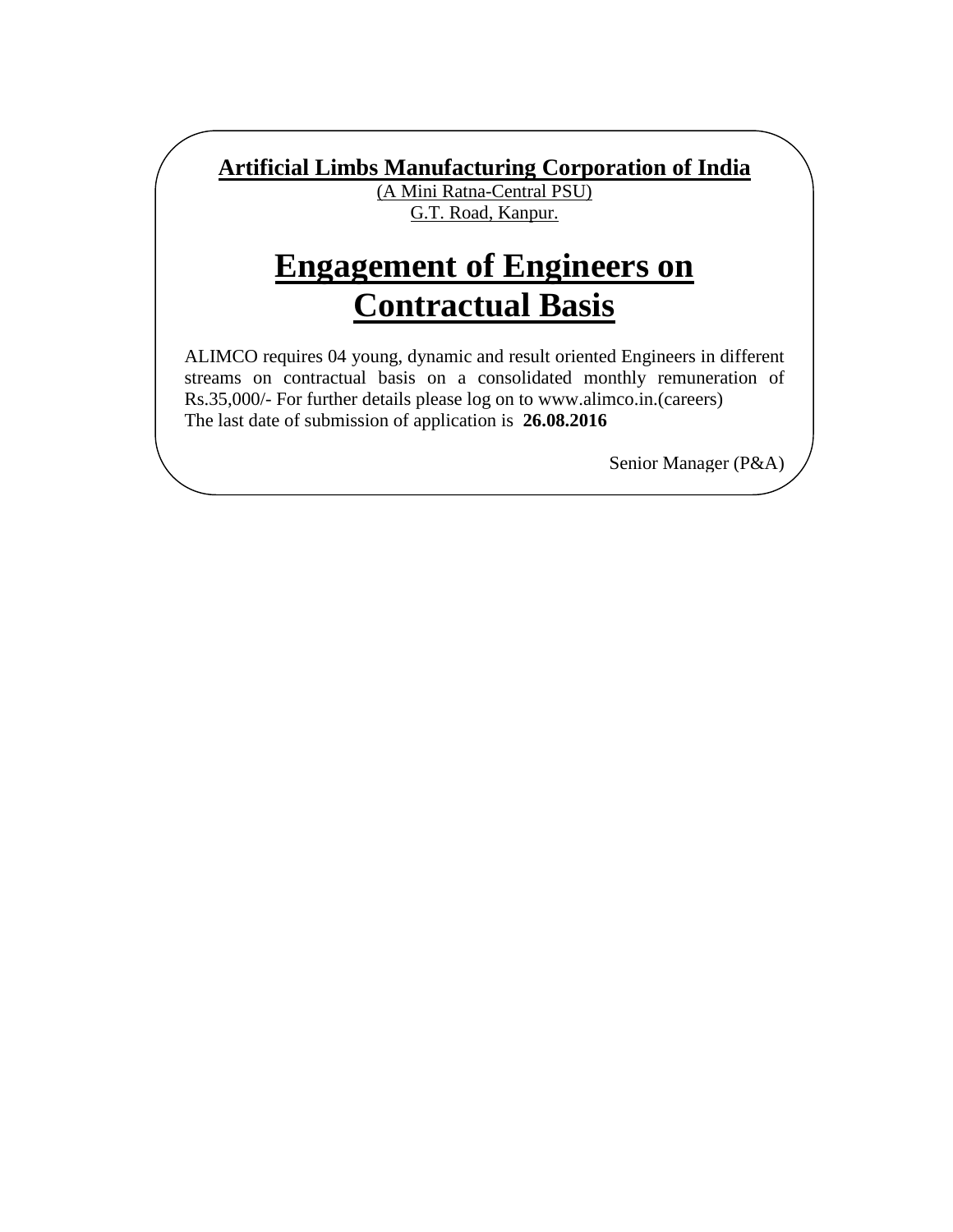**Artificial Limbs Manufacturing Corporation of India**

l

(A Mini Ratna-Central PSU) G.T. Road, Kanpur.

# **Engagement of Engineers on Contractual Basis**

ALIMCO requires 04 young, dynamic and result oriented Engineers in different streams on contractual basis on a consolidated monthly remuneration of Rs.35,000/- For further details please log on to www.alimco.in.(careers) The last date of submission of application is **26.08.2016**

Senior Manager (P&A)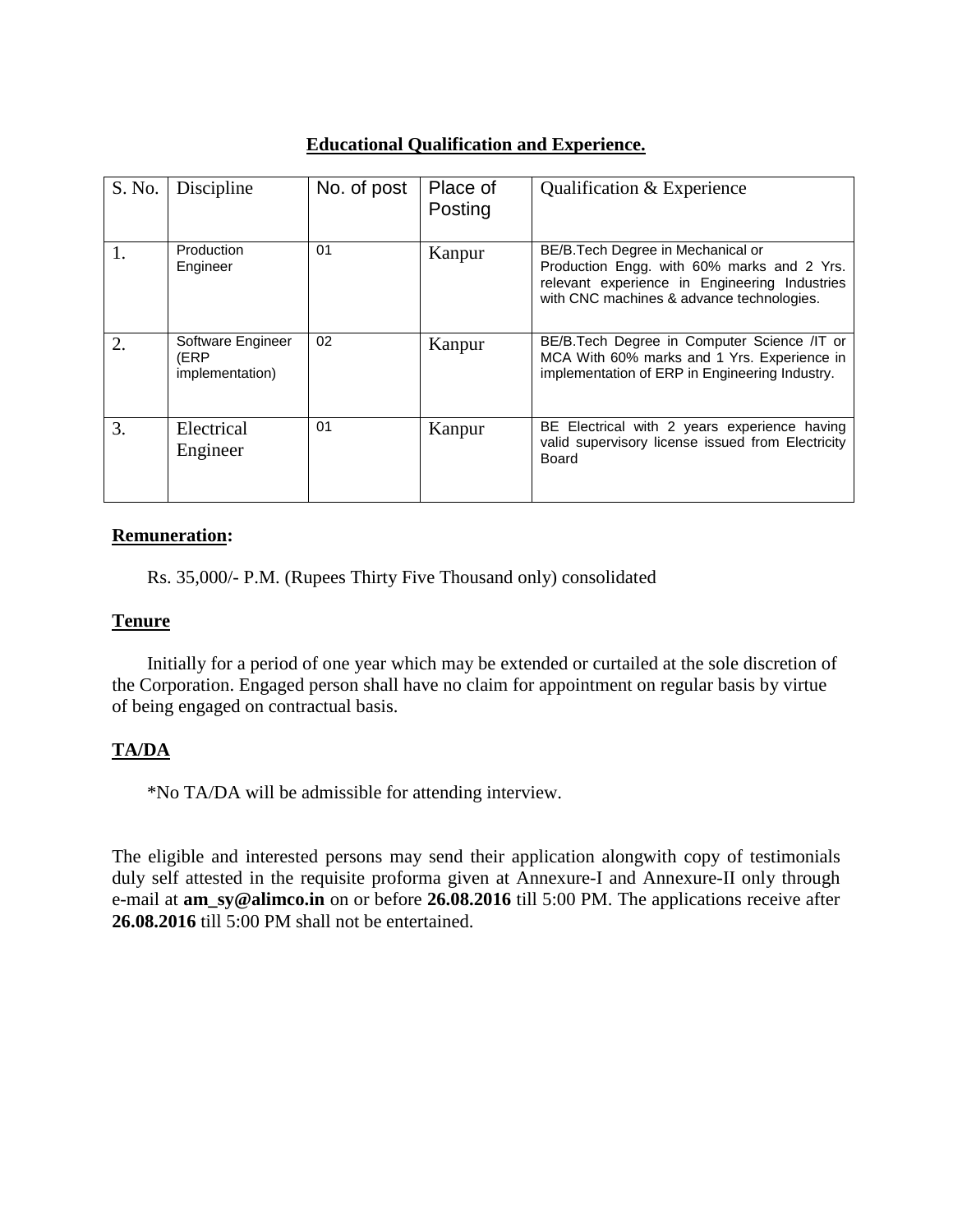## **Educational Qualification and Experience.**

| S. No. | Discipline                                   | No. of post | Place of<br>Posting | Qualification & Experience                                                                                                                                                    |
|--------|----------------------------------------------|-------------|---------------------|-------------------------------------------------------------------------------------------------------------------------------------------------------------------------------|
| 1.     | Production<br>Engineer                       | 01          | Kanpur              | BE/B.Tech Degree in Mechanical or<br>Production Engg. with 60% marks and 2 Yrs.<br>relevant experience in Engineering Industries<br>with CNC machines & advance technologies. |
| 2.     | Software Engineer<br>(ERP<br>implementation) | 02          | Kanpur              | BE/B. Tech Degree in Computer Science /IT or<br>MCA With 60% marks and 1 Yrs. Experience in<br>implementation of ERP in Engineering Industry.                                 |
| 3.     | Electrical<br>Engineer                       | 01          | Kanpur              | BE Electrical with 2 years experience having<br>valid supervisory license issued from Electricity<br>Board                                                                    |

#### **Remuneration:**

Rs. 35,000/- P.M. (Rupees Thirty Five Thousand only) consolidated

#### **Tenure**

Initially for a period of one year which may be extended or curtailed at the sole discretion of the Corporation. Engaged person shall have no claim for appointment on regular basis by virtue of being engaged on contractual basis.

## **TA/DA**

\*No TA/DA will be admissible for attending interview.

The eligible and interested persons may send their application alongwith copy of testimonials duly self attested in the requisite proforma given at Annexure-I and Annexure-II only through e-mail at **am\_sy@alimco.in** on or before **26.08.2016** till 5:00 PM. The applications receive after **26.08.2016** till 5:00 PM shall not be entertained.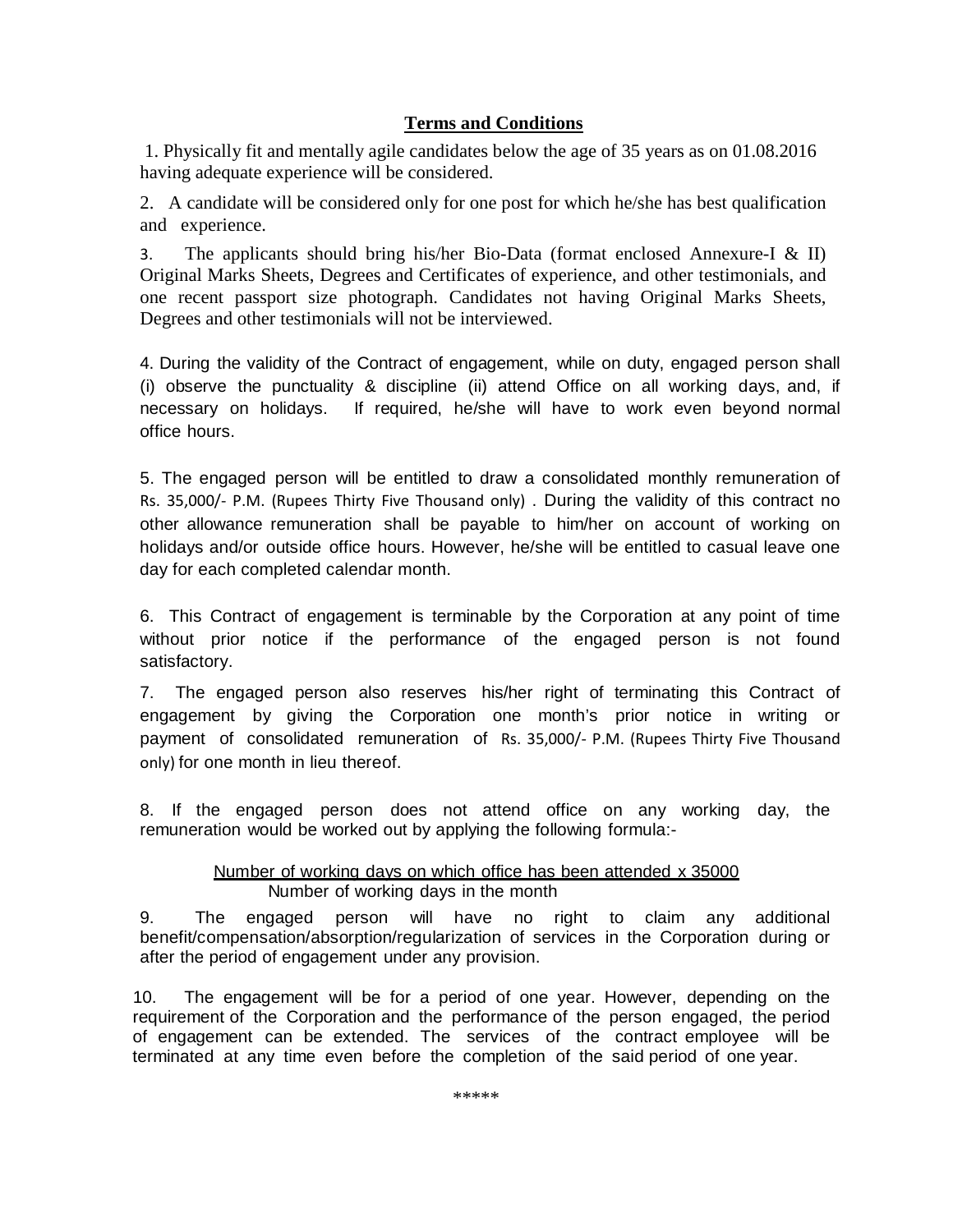### **Terms and Conditions**

1. Physically fit and mentally agile candidates below the age of 35 years as on 01.08.2016 having adequate experience will be considered.

2. A candidate will be considered only for one post for which he/she has best qualification and experience.

3. The applicants should bring his/her Bio-Data (format enclosed Annexure-I & II) Original Marks Sheets, Degrees and Certificates of experience, and other testimonials, and one recent passport size photograph. Candidates not having Original Marks Sheets, Degrees and other testimonials will not be interviewed.

4. During the validity of the Contract of engagement, while on duty, engaged person shall (i) observe the punctuality & discipline (ii) attend Office on all working days, and, if necessary on holidays. If required, he/she will have to work even beyond normal office hours.

5. The engaged person will be entitled to draw a consolidated monthly remuneration of Rs. 35,000/- P.M. (Rupees Thirty Five Thousand only) . During the validity of this contract no other allowance remuneration shall be payable to him/her on account of working on holidays and/or outside office hours. However, he/she will be entitled to casual leave one day for each completed calendar month.

6. This Contract of engagement is terminable by the Corporation at any point of time without prior notice if the performance of the engaged person is not found satisfactory.

7. The engaged person also reserves his/her right of terminating this Contract of engagement by giving the Corporation one month's prior notice in writing or payment of consolidated remuneration of Rs. 35,000/- P.M. (Rupees Thirty Five Thousand only) for one month in lieu thereof.

8. If the engaged person does not attend office on any working day, the remuneration would be worked out by applying the following formula:-

#### Number of working days on which office has been attended x 35000 Number of working days in the month

9. The engaged person will have no right to claim any additional benefit/compensation/absorption/regularization of services in the Corporation during or after the period of engagement under any provision.

10. The engagement will be for a period of one year. However, depending on the requirement of the Corporation and the performance of the person engaged, the period of engagement can be extended. The services of the contract employee will be terminated at any time even before the completion of the said period of one year.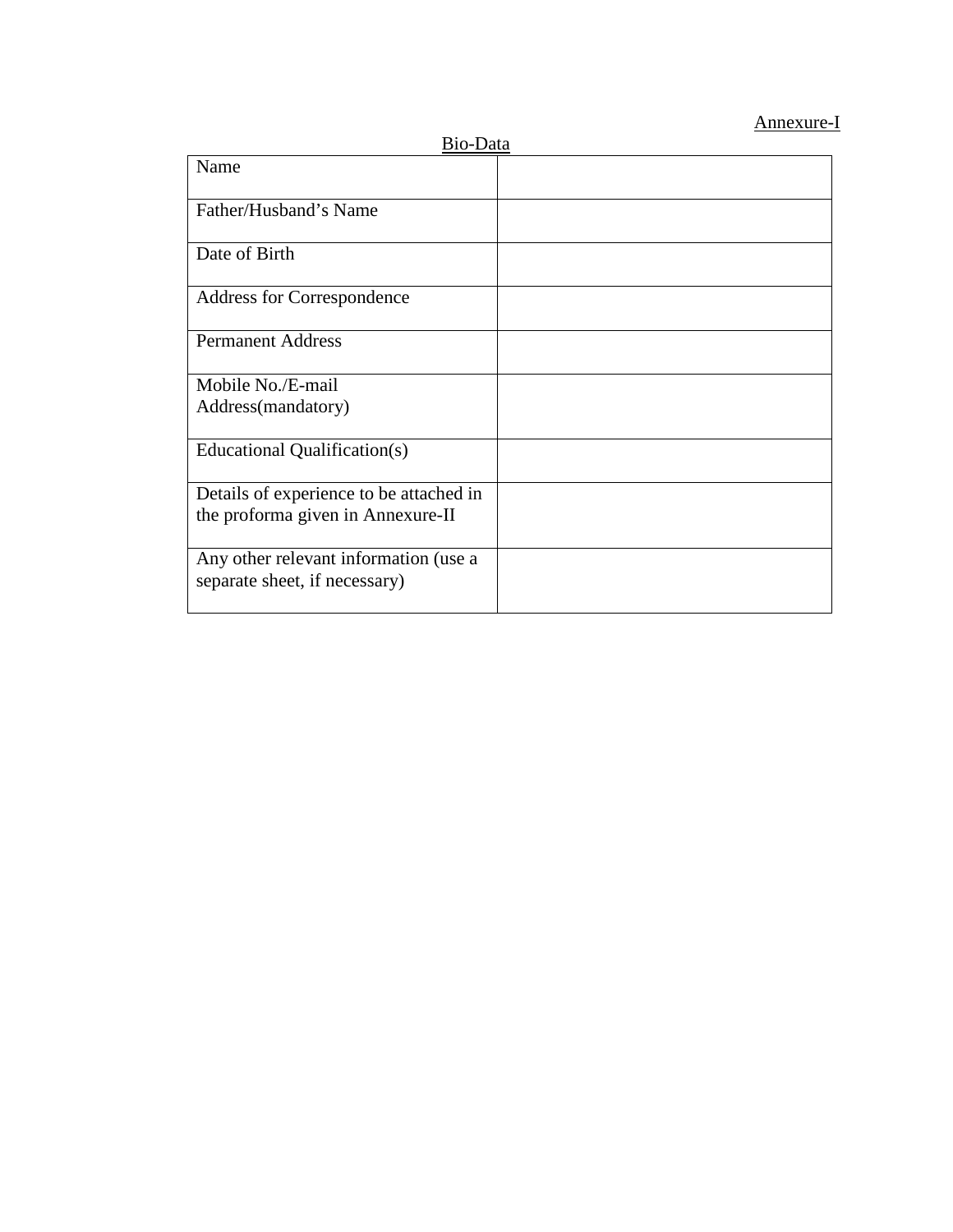## Annexure-I

| Bio-Data                                                               |  |  |  |  |
|------------------------------------------------------------------------|--|--|--|--|
| Name                                                                   |  |  |  |  |
| Father/Husband's Name                                                  |  |  |  |  |
| Date of Birth                                                          |  |  |  |  |
| Address for Correspondence                                             |  |  |  |  |
| <b>Permanent Address</b>                                               |  |  |  |  |
| Mobile No./E-mail                                                      |  |  |  |  |
| Address(mandatory)                                                     |  |  |  |  |
| Educational Qualification(s)                                           |  |  |  |  |
| Details of experience to be attached in                                |  |  |  |  |
| the proforma given in Annexure-II                                      |  |  |  |  |
| Any other relevant information (use a<br>separate sheet, if necessary) |  |  |  |  |